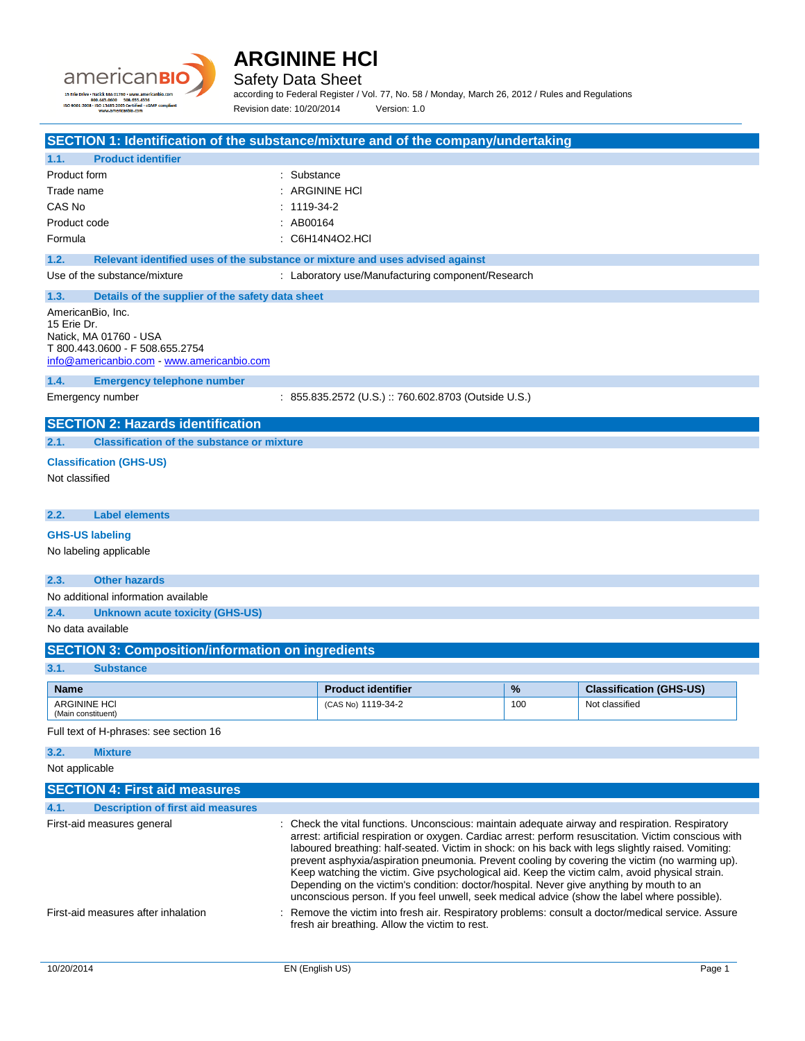



according to Federal Register / Vol. 77, No. 58 / Monday, March 26, 2012 / Rules and Regulations

Revision date: 10/20/2014 Version: 1.0

**SECTION 1: Identification of the substance/mixture and of the company/undertaking**

| <b>Product identifier</b><br>1.1.                                                                                                         |                                                                               |
|-------------------------------------------------------------------------------------------------------------------------------------------|-------------------------------------------------------------------------------|
| Product form                                                                                                                              | $\therefore$ Substance                                                        |
| Trade name                                                                                                                                | $\therefore$ ARGININE HCI                                                     |
| CAS No                                                                                                                                    | $: 1119-34-2$                                                                 |
| Product code                                                                                                                              | : AB00164                                                                     |
| Formula                                                                                                                                   | $\therefore$ C6H14N4O2 HCL                                                    |
| 1.2.                                                                                                                                      | Relevant identified uses of the substance or mixture and uses advised against |
| Use of the substance/mixture                                                                                                              | : Laboratory use/Manufacturing component/Research                             |
| 1.3.<br>Details of the supplier of the safety data sheet                                                                                  |                                                                               |
| AmericanBio, Inc.<br>15 Frie Dr.<br>Natick, MA 01760 - USA<br>T 800.443.0600 - F 508.655.2754<br>info@americanbio.com www.americanbio.com |                                                                               |
| <b>Emergency telephone number</b><br>1.4.                                                                                                 |                                                                               |
| Emergency number                                                                                                                          | : 855.835.2572 (U.S.) :: 760.602.8703 (Outside U.S.)                          |
| <b>SECTION 2: Hazards identification</b>                                                                                                  |                                                                               |
| 2.1.<br><b>Classification of the substance or mixture</b>                                                                                 |                                                                               |
| <b>Classification (GHS-US)</b>                                                                                                            |                                                                               |
| Not classified                                                                                                                            |                                                                               |

**2.2. Label elements**

### **GHS-US labeling**

No labeling applicable

### **2.3. Other hazards**

No additional information available

**2.4. Unknown acute toxicity (GHS-US)**

No data available

| <b>SECTION 3: Composition/information on ingredients</b> |  |
|----------------------------------------------------------|--|
|                                                          |  |

### **3.1. Substance**

| <b>Name</b>                               | <b>Product identifier</b> | $\frac{9}{6}$ | <b>Classification (GHS-US)</b> |
|-------------------------------------------|---------------------------|---------------|--------------------------------|
| <b>ARGININE HCI</b><br>(Main constituent) | (CAS No) 1119-34-2        | 100           | Not classified                 |

Full text of H-phrases: see section 16

### **3.2. Mixture**

Not applicable

| <b>SECTION 4: First aid measures</b>             |                                                                                                                                                                                                                                                                                                                                                                                                                                                                                                                                                                                                                                                                                                                 |        |
|--------------------------------------------------|-----------------------------------------------------------------------------------------------------------------------------------------------------------------------------------------------------------------------------------------------------------------------------------------------------------------------------------------------------------------------------------------------------------------------------------------------------------------------------------------------------------------------------------------------------------------------------------------------------------------------------------------------------------------------------------------------------------------|--------|
| <b>Description of first aid measures</b><br>4.1. |                                                                                                                                                                                                                                                                                                                                                                                                                                                                                                                                                                                                                                                                                                                 |        |
| First-aid measures general                       | : Check the vital functions. Unconscious: maintain adequate airway and respiration. Respiratory<br>arrest: artificial respiration or oxygen. Cardiac arrest: perform resuscitation. Victim conscious with<br>laboured breathing: half-seated. Victim in shock: on his back with legs slightly raised. Vomiting:<br>prevent asphyxia/aspiration pneumonia. Prevent cooling by covering the victim (no warming up).<br>Keep watching the victim. Give psychological aid. Keep the victim calm, avoid physical strain.<br>Depending on the victim's condition: doctor/hospital. Never give anything by mouth to an<br>unconscious person. If you feel unwell, seek medical advice (show the label where possible). |        |
| First-aid measures after inhalation              | : Remove the victim into fresh air. Respiratory problems: consult a doctor/medical service. Assure<br>fresh air breathing. Allow the victim to rest.                                                                                                                                                                                                                                                                                                                                                                                                                                                                                                                                                            |        |
| 10/20/2014                                       | EN (English US)                                                                                                                                                                                                                                                                                                                                                                                                                                                                                                                                                                                                                                                                                                 | Page 1 |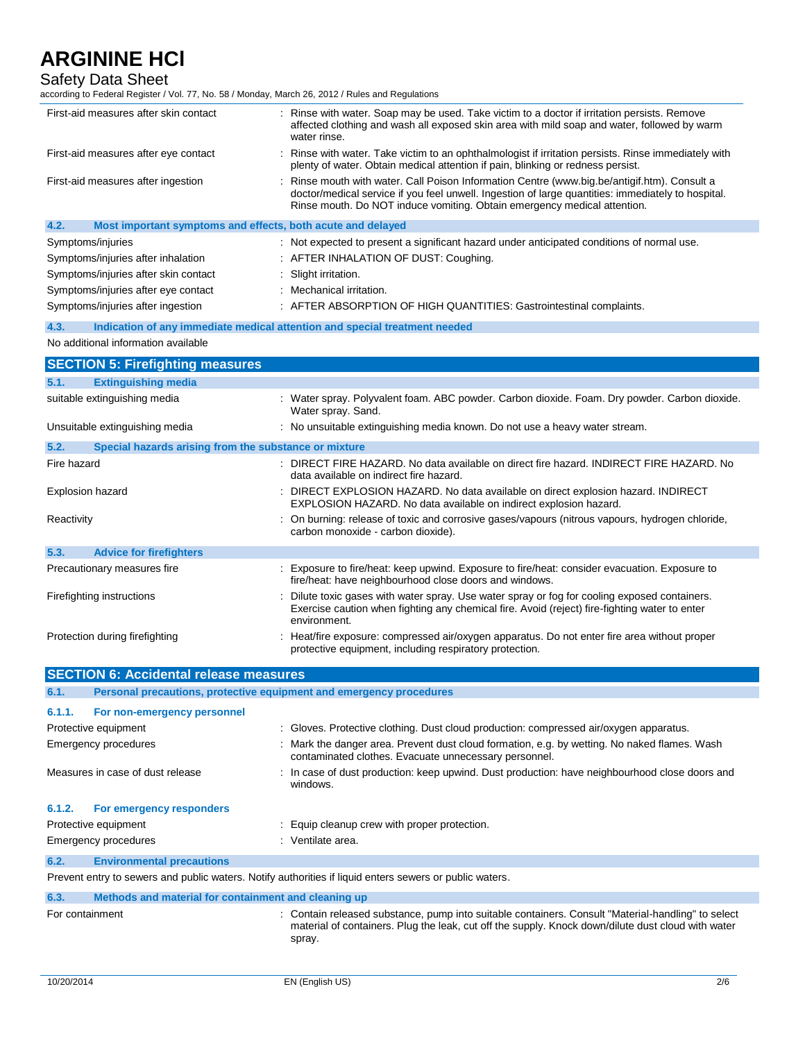## Safety Data Sheet

according to Federal Register / Vol. 77, No. 58 / Monday, March 26, 2012 / Rules and Regulations

| First-aid measures after skin contact                               |  | Rinse with water. Soap may be used. Take victim to a doctor if irritation persists. Remove<br>affected clothing and wash all exposed skin area with mild soap and water, followed by warm<br>water rinse.                                                                      |
|---------------------------------------------------------------------|--|--------------------------------------------------------------------------------------------------------------------------------------------------------------------------------------------------------------------------------------------------------------------------------|
| First-aid measures after eye contact                                |  | Rinse with water. Take victim to an ophthalmologist if irritation persists. Rinse immediately with<br>plenty of water. Obtain medical attention if pain, blinking or redness persist.                                                                                          |
| First-aid measures after ingestion                                  |  | : Rinse mouth with water. Call Poison Information Centre (www.big.be/antigif.htm). Consult a<br>doctor/medical service if you feel unwell. Ingestion of large quantities: immediately to hospital.<br>Rinse mouth. Do NOT induce vomiting. Obtain emergency medical attention. |
| 4.2.<br>Most important symptoms and effects, both acute and delayed |  |                                                                                                                                                                                                                                                                                |
| Symptoms/injuries                                                   |  | : Not expected to present a significant hazard under anticipated conditions of normal use.                                                                                                                                                                                     |
| Symptoms/injuries after inhalation                                  |  | : AFTER INHALATION OF DUST: Coughing.                                                                                                                                                                                                                                          |
| Symptoms/injuries after skin contact                                |  | : Slight irritation.                                                                                                                                                                                                                                                           |
| Symptoms/injuries after eye contact                                 |  | : Mechanical irritation.                                                                                                                                                                                                                                                       |
| Symptoms/injuries after ingestion                                   |  | AFTER ABSORPTION OF HIGH QUANTITIES: Gastrointestinal complaints.                                                                                                                                                                                                              |
|                                                                     |  |                                                                                                                                                                                                                                                                                |

### **4.3. Indication of any immediate medical attention and special treatment needed**

#### No additional information available

|             | <b>SECTION 5: Firefighting measures</b>               |                                                                                                                                                                                                              |
|-------------|-------------------------------------------------------|--------------------------------------------------------------------------------------------------------------------------------------------------------------------------------------------------------------|
| 5.1.        | <b>Extinguishing media</b>                            |                                                                                                                                                                                                              |
|             | suitable extinguishing media                          | : Water spray. Polyvalent foam. ABC powder. Carbon dioxide. Foam. Dry powder. Carbon dioxide.<br>Water spray. Sand.                                                                                          |
|             | Unsuitable extinguishing media                        | : No unsuitable extinguishing media known. Do not use a heavy water stream.                                                                                                                                  |
| 5.2.        | Special hazards arising from the substance or mixture |                                                                                                                                                                                                              |
| Fire hazard |                                                       | : DIRECT FIRE HAZARD. No data available on direct fire hazard. INDIRECT FIRE HAZARD. No<br>data available on indirect fire hazard.                                                                           |
|             | Explosion hazard                                      | : DIRECT EXPLOSION HAZARD. No data available on direct explosion hazard. INDIRECT<br>EXPLOSION HAZARD. No data available on indirect explosion hazard.                                                       |
| Reactivity  |                                                       | : On burning: release of toxic and corrosive gases/vapours (nitrous vapours, hydrogen chloride,<br>carbon monoxide - carbon dioxide).                                                                        |
| 5.3.        | <b>Advice for firefighters</b>                        |                                                                                                                                                                                                              |
|             | Precautionary measures fire                           | : Exposure to fire/heat: keep upwind. Exposure to fire/heat: consider evacuation. Exposure to<br>fire/heat: have neighbourhood close doors and windows.                                                      |
|             | Firefighting instructions                             | Dilute toxic gases with water spray. Use water spray or fog for cooling exposed containers.<br>Exercise caution when fighting any chemical fire. Avoid (reject) fire-fighting water to enter<br>environment. |
|             | Protection during firefighting                        | : Heat/fire exposure: compressed air/oxygen apparatus. Do not enter fire area without proper<br>protective equipment, including respiratory protection.                                                      |

|        | <b>SECTION 6: Accidental release measures</b>                       |                                                                                                                                                       |  |
|--------|---------------------------------------------------------------------|-------------------------------------------------------------------------------------------------------------------------------------------------------|--|
| 6.1.   | Personal precautions, protective equipment and emergency procedures |                                                                                                                                                       |  |
| 6.1.1. | For non-emergency personnel                                         |                                                                                                                                                       |  |
|        | Protective equipment                                                | : Gloves. Protective clothing. Dust cloud production: compressed air/oxygen apparatus.                                                                |  |
|        | Emergency procedures                                                | : Mark the danger area. Prevent dust cloud formation, e.g. by wetting. No naked flames. Wash<br>contaminated clothes. Evacuate unnecessary personnel. |  |
|        | Measures in case of dust release                                    | : In case of dust production: keep upwind. Dust production: have neighbourhood close doors and<br>windows.                                            |  |
| 6.1.2. | For emergency responders                                            |                                                                                                                                                       |  |
|        | Protective equipment                                                | : Equip cleanup crew with proper protection.                                                                                                          |  |
|        | Emergency procedures                                                | : Ventilate area.                                                                                                                                     |  |
| 6.2.   | <b>Environmental precautions</b>                                    |                                                                                                                                                       |  |
|        |                                                                     | Prevent entry to sewers and public waters. Notify authorities if liquid enters sewers or public waters.                                               |  |
| 6.3.   | Methods and material for containment and cleaning up                |                                                                                                                                                       |  |
|        |                                                                     |                                                                                                                                                       |  |

For containment **interpretent contain released substance**, pump into suitable containers. Consult "Material-handling" to select material of containers. Plug the leak, cut off the supply. Knock down/dilute dust cloud with water spray.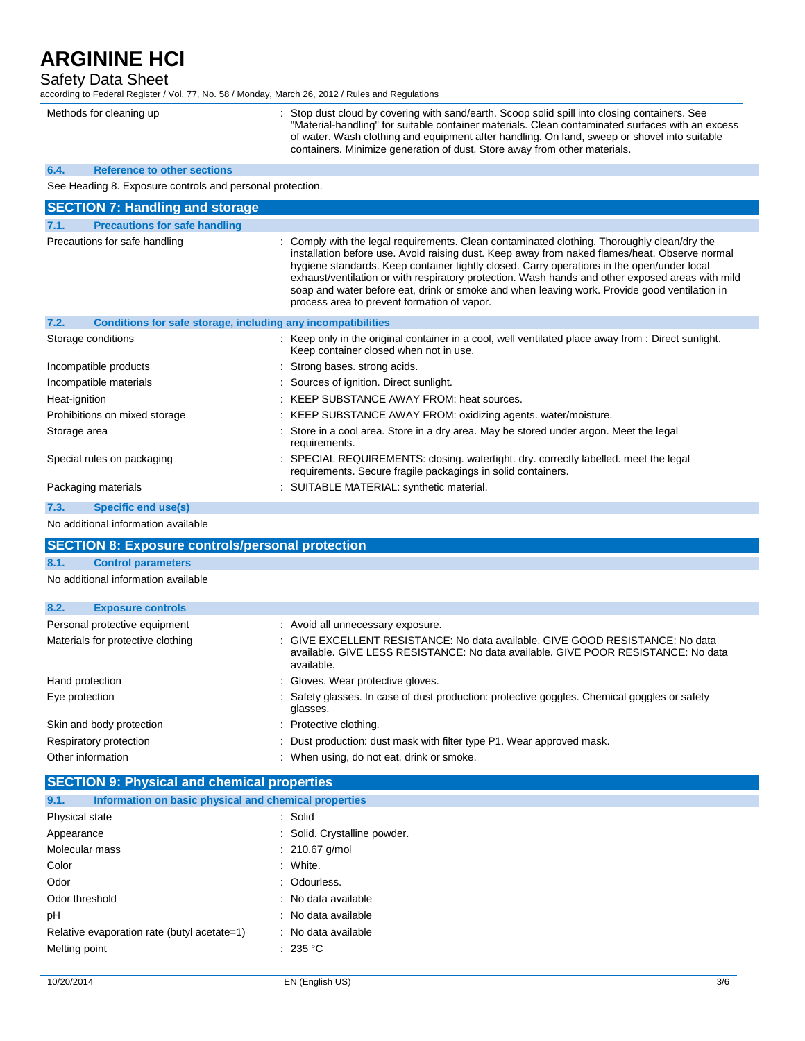Safety Data Sheet

according to Federal Register / Vol. 77, No. 58 / Monday, March 26, 2012 / Rules and Regulations

| Methods for cleaning up                                              | Stop dust cloud by covering with sand/earth. Scoop solid spill into closing containers. See<br>"Material-handling" for suitable container materials. Clean contaminated surfaces with an excess<br>of water. Wash clothing and equipment after handling. On land, sweep or shovel into suitable<br>containers. Minimize generation of dust. Store away from other materials.                                                                                                                                                                  |
|----------------------------------------------------------------------|-----------------------------------------------------------------------------------------------------------------------------------------------------------------------------------------------------------------------------------------------------------------------------------------------------------------------------------------------------------------------------------------------------------------------------------------------------------------------------------------------------------------------------------------------|
| 6.4.<br><b>Reference to other sections</b>                           |                                                                                                                                                                                                                                                                                                                                                                                                                                                                                                                                               |
| See Heading 8. Exposure controls and personal protection.            |                                                                                                                                                                                                                                                                                                                                                                                                                                                                                                                                               |
| <b>SECTION 7: Handling and storage</b>                               |                                                                                                                                                                                                                                                                                                                                                                                                                                                                                                                                               |
| <b>Precautions for safe handling</b><br>7.1.                         |                                                                                                                                                                                                                                                                                                                                                                                                                                                                                                                                               |
| Precautions for safe handling                                        | : Comply with the legal requirements. Clean contaminated clothing. Thoroughly clean/dry the<br>installation before use. Avoid raising dust. Keep away from naked flames/heat. Observe normal<br>hygiene standards. Keep container tightly closed. Carry operations in the open/under local<br>exhaust/ventilation or with respiratory protection. Wash hands and other exposed areas with mild<br>soap and water before eat, drink or smoke and when leaving work. Provide good ventilation in<br>process area to prevent formation of vapor. |
| Conditions for safe storage, including any incompatibilities<br>7.2. |                                                                                                                                                                                                                                                                                                                                                                                                                                                                                                                                               |
| Storage conditions                                                   | : Keep only in the original container in a cool, well ventilated place away from : Direct sunlight.<br>Keep container closed when not in use.                                                                                                                                                                                                                                                                                                                                                                                                 |
| Incompatible products                                                | Strong bases, strong acids.                                                                                                                                                                                                                                                                                                                                                                                                                                                                                                                   |
| Incompatible materials                                               | : Sources of ignition. Direct sunlight.                                                                                                                                                                                                                                                                                                                                                                                                                                                                                                       |
| Heat-ignition                                                        | : KEEP SUBSTANCE AWAY FROM: heat sources.                                                                                                                                                                                                                                                                                                                                                                                                                                                                                                     |
| Prohibitions on mixed storage                                        | : KEEP SUBSTANCE AWAY FROM: oxidizing agents. water/moisture.                                                                                                                                                                                                                                                                                                                                                                                                                                                                                 |
| Storage area                                                         | Store in a cool area. Store in a dry area. May be stored under argon. Meet the legal<br>requirements.                                                                                                                                                                                                                                                                                                                                                                                                                                         |
| Special rules on packaging                                           | SPECIAL REQUIREMENTS: closing. watertight. dry. correctly labelled. meet the legal<br>requirements. Secure fragile packagings in solid containers.                                                                                                                                                                                                                                                                                                                                                                                            |
| Packaging materials                                                  | : SUITABLE MATERIAL: synthetic material.                                                                                                                                                                                                                                                                                                                                                                                                                                                                                                      |
| <b>Specific end use(s)</b><br>7.3.                                   |                                                                                                                                                                                                                                                                                                                                                                                                                                                                                                                                               |
| No additional information available                                  |                                                                                                                                                                                                                                                                                                                                                                                                                                                                                                                                               |
| <b>SECTION 8: Exposure controls/personal protection</b>              |                                                                                                                                                                                                                                                                                                                                                                                                                                                                                                                                               |

## **8.1. Control parameters**

No additional information available

| 8.2.<br><b>Exposure controls</b>  |                                                                                                                                                                                  |
|-----------------------------------|----------------------------------------------------------------------------------------------------------------------------------------------------------------------------------|
| Personal protective equipment     | : Avoid all unnecessary exposure.                                                                                                                                                |
| Materials for protective clothing | : GIVE EXCELLENT RESISTANCE: No data available. GIVE GOOD RESISTANCE: No data<br>available. GIVE LESS RESISTANCE: No data available. GIVE POOR RESISTANCE: No data<br>available. |
| Hand protection                   | : Gloves. Wear protective gloves.                                                                                                                                                |
| Eye protection                    | : Safety glasses. In case of dust production: protective goggles. Chemical goggles or safety<br>glasses.                                                                         |
| Skin and body protection          | : Protective clothing.                                                                                                                                                           |
| Respiratory protection            | : Dust production: dust mask with filter type P1. Wear approved mask.                                                                                                            |
| Other information                 | : When using, do not eat, drink or smoke.                                                                                                                                        |

| <b>SECTION 9: Physical and chemical properties</b>            |                              |  |
|---------------------------------------------------------------|------------------------------|--|
| Information on basic physical and chemical properties<br>9.1. |                              |  |
| Physical state                                                | : Solid                      |  |
| Appearance                                                    | : Solid. Crystalline powder. |  |
| Molecular mass                                                | $: 210.67$ g/mol             |  |
| Color                                                         | : White.                     |  |
| Odor                                                          | : Odourless.                 |  |
| Odor threshold                                                | : No data available          |  |
| pH                                                            | : No data available          |  |
| Relative evaporation rate (butyl acetate=1)                   | : No data available          |  |
| Melting point                                                 | : 235 °C                     |  |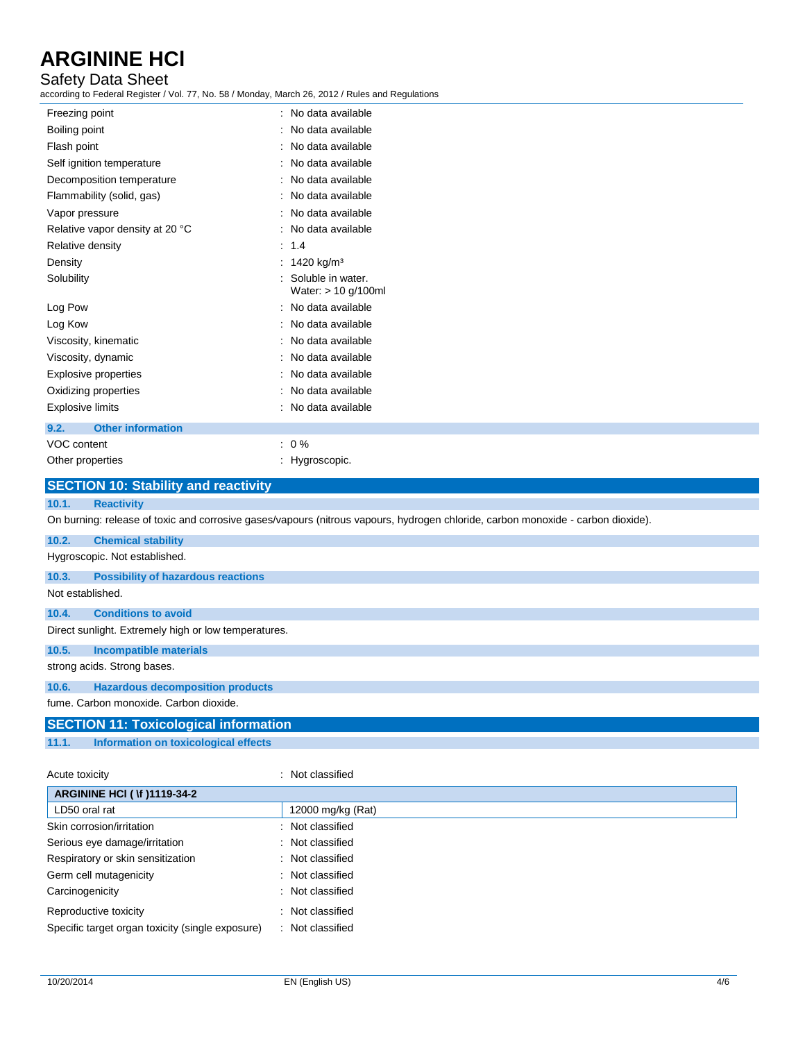### Safety Data Sheet

according to Federal Register / Vol. 77, No. 58 / Monday, March 26, 2012 / Rules and Regulations

| Freezing point                   | : No data available                        |
|----------------------------------|--------------------------------------------|
| Boiling point                    | No data available                          |
| Flash point                      | No data available                          |
| Self ignition temperature        | No data available                          |
| Decomposition temperature        | No data available                          |
| Flammability (solid, gas)        | No data available                          |
| Vapor pressure                   | No data available                          |
| Relative vapor density at 20 °C  | No data available                          |
| Relative density                 | : 1.4                                      |
| Density                          | 1420 kg/m <sup>3</sup><br>÷                |
| Solubility                       | Soluble in water.<br>Water: $> 10$ g/100ml |
| Log Pow                          | No data available                          |
| Log Kow                          | No data available                          |
| Viscosity, kinematic             | No data available                          |
| Viscosity, dynamic               | No data available                          |
| <b>Explosive properties</b>      | No data available                          |
| Oxidizing properties             | No data available                          |
| Explosive limits                 | No data available                          |
| <b>Other information</b><br>9.2. |                                            |
| VOC content                      | $: 0\%$                                    |
| Other properties                 | : Hygroscopic.                             |
|                                  |                                            |

|                  | <b>SECTION 10: Stability and reactivity</b>                                                                                      |
|------------------|----------------------------------------------------------------------------------------------------------------------------------|
| 10.1.            | <b>Reactivity</b>                                                                                                                |
|                  | On burning: release of toxic and corrosive gases/vapours (nitrous vapours, hydrogen chloride, carbon monoxide - carbon dioxide). |
| 10.2.            | <b>Chemical stability</b>                                                                                                        |
|                  | Hygroscopic. Not established.                                                                                                    |
| 10.3.            | <b>Possibility of hazardous reactions</b>                                                                                        |
| Not established. |                                                                                                                                  |
| 10.4.            | <b>Conditions to avoid</b>                                                                                                       |
|                  | Direct sunlight. Extremely high or low temperatures.                                                                             |
| 10.5.            | Incompatible materials                                                                                                           |
|                  | strong acids. Strong bases.                                                                                                      |
| 10.6.            | <b>Hazardous decomposition products</b>                                                                                          |
|                  | fume. Carbon monoxide. Carbon dioxide.                                                                                           |
|                  | <b>SECTION 11: Toxicological information</b>                                                                                     |
| 11.1.            | <b>Information on toxicological effects</b>                                                                                      |

| Acute toxicity                                   | : Not classified  |
|--------------------------------------------------|-------------------|
| <b>ARGININE HCI ( \f )1119-34-2</b>              |                   |
| LD50 oral rat                                    | 12000 mg/kg (Rat) |
| Skin corrosion/irritation                        | : Not classified  |
| Serious eye damage/irritation                    | : Not classified  |
| Respiratory or skin sensitization                | : Not classified  |
| Germ cell mutagenicity                           | : Not classified  |
| Carcinogenicity                                  | : Not classified  |
| Reproductive toxicity                            | : Not classified  |
| Specific target organ toxicity (single exposure) | : Not classified  |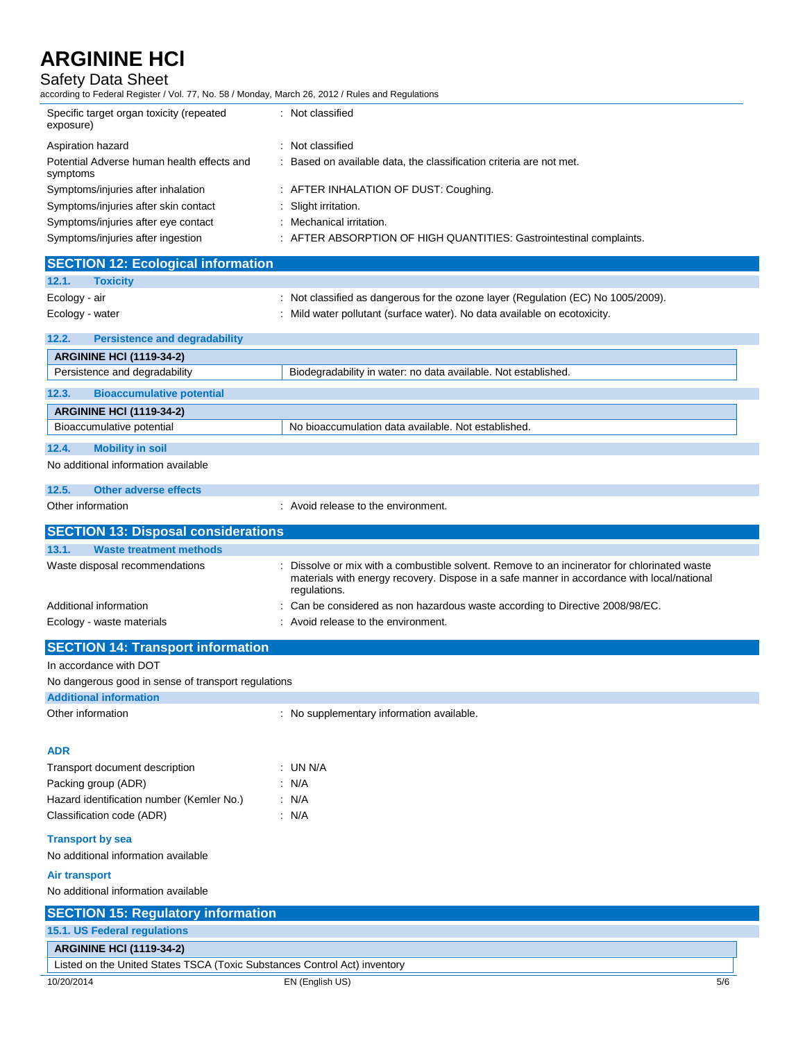Safety Data Sheet

according to Federal Register / Vol. 77, No. 58 / Monday, March 26, 2012 / Rules and Regulations

| Specific target organ toxicity (repeated<br>exposure)  | : Not classified                                                    |
|--------------------------------------------------------|---------------------------------------------------------------------|
| Aspiration hazard                                      | : Not classified                                                    |
| Potential Adverse human health effects and<br>symptoms | : Based on available data, the classification criteria are not met. |
| Symptoms/injuries after inhalation                     | : AFTER INHALATION OF DUST: Coughing.                               |
| Symptoms/injuries after skin contact                   | : Slight irritation.                                                |
| Symptoms/injuries after eye contact                    | : Mechanical irritation.                                            |
| Symptoms/injuries after ingestion                      | : AFTER ABSORPTION OF HIGH QUANTITIES: Gastrointestinal complaints. |
| <b>ISECTION 12: Ecological information</b>             |                                                                     |

| <b>Toxicity</b><br>12.1.                      |                                                                                   |
|-----------------------------------------------|-----------------------------------------------------------------------------------|
| Ecology - air                                 | : Not classified as dangerous for the ozone layer (Regulation (EC) No 1005/2009). |
| Ecology - water                               | : Mild water pollutant (surface water). No data available on ecotoxicity.         |
| 12.2.<br><b>Persistence and degradability</b> |                                                                                   |
|                                               |                                                                                   |
| <b>ARGININE HCI (1119-34-2)</b>               |                                                                                   |
| Persistence and degradability                 | Biodegradability in water: no data available. Not established.                    |
| <b>Bioaccumulative potential</b><br>12.3.     |                                                                                   |
| <b>ARGININE HCI (1119-34-2)</b>               |                                                                                   |
| Bioaccumulative potential                     | No bioaccumulation data available. Not established.                               |
| 12.4.<br><b>Mobility in soil</b>              |                                                                                   |
| No additional information available           |                                                                                   |
|                                               |                                                                                   |

| Other adverse effects<br>12.5.             |                                                                                                                                                                                                            |
|--------------------------------------------|------------------------------------------------------------------------------------------------------------------------------------------------------------------------------------------------------------|
| Other information                          | : Avoid release to the environment.                                                                                                                                                                        |
| <b>SECTION 13: Disposal considerations</b> |                                                                                                                                                                                                            |
| <b>Waste treatment methods</b><br>13.1.    |                                                                                                                                                                                                            |
| Waste disposal recommendations             | : Dissolve or mix with a combustible solvent. Remove to an incinerator for chlorinated waste<br>materials with energy recovery. Dispose in a safe manner in accordance with local/national<br>regulations. |
| Additional information                     | : Can be considered as non hazardous waste according to Directive 2008/98/EC.                                                                                                                              |
| Ecology - waste materials                  | : Avoid release to the environment.                                                                                                                                                                        |
| <b>SECTION 14: Transport information</b>   |                                                                                                                                                                                                            |
| In accordance with DOT                     |                                                                                                                                                                                                            |

| No dangerous good in sense of transport regulations |                                           |
|-----------------------------------------------------|-------------------------------------------|
| <b>Additional information</b>                       |                                           |
| Other information                                   | : No supplementary information available. |
| <b>ADR</b>                                          |                                           |
| Transport document description                      | : UN N/A                                  |
| Packing group (ADR)                                 | : N/A                                     |
| Hazard identification number (Kemler No.)           | : N/A                                     |
| Classification code (ADR)                           | : N/A                                     |
| <b>Transport by sea</b>                             |                                           |
| No additional information available                 |                                           |
| Air transport                                       |                                           |
| No additional information available                 |                                           |
| <b>SECTION 15: Regulatory information</b>           |                                           |
| 15.1. US Federal regulations                        |                                           |
| <b>ARGININE HCI (1119-34-2)</b>                     |                                           |

Listed on the United States TSCA (Toxic Substances Control Act) inventory